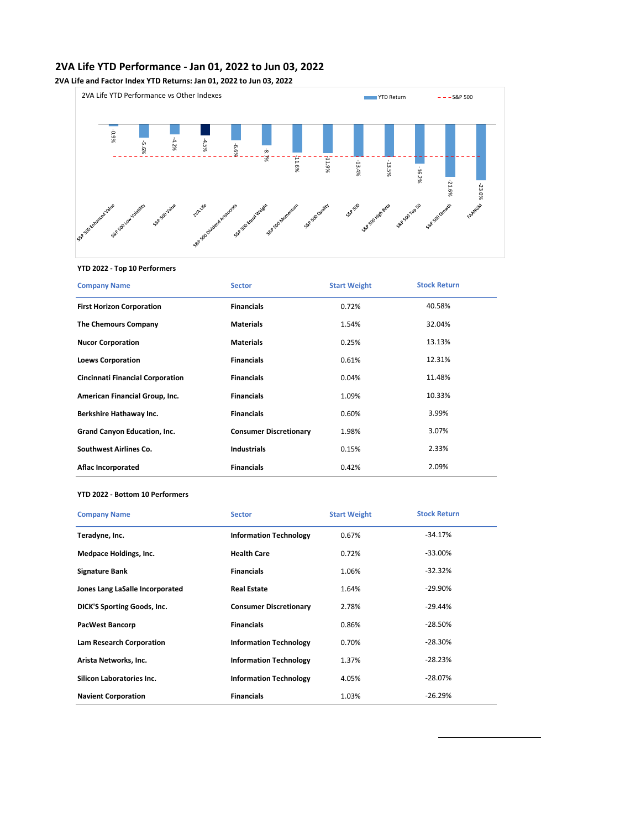## **2VA Life YTD Performance - Jan 01, 2022 to Jun 03, 2022**

**2VA Life and Factor Index YTD Returns: Jan 01, 2022 to Jun 03, 2022**



#### **YTD 2022 - Top 10 Performers**

| <b>Company Name</b>                     | <b>Sector</b>                 | <b>Start Weight</b> | <b>Stock Return</b> |
|-----------------------------------------|-------------------------------|---------------------|---------------------|
| <b>First Horizon Corporation</b>        | <b>Financials</b>             | 0.72%               | 40.58%              |
| <b>The Chemours Company</b>             | <b>Materials</b>              | 1.54%               | 32.04%              |
| <b>Nucor Corporation</b>                | <b>Materials</b>              | 0.25%               | 13.13%              |
| <b>Loews Corporation</b>                | <b>Financials</b>             | 0.61%               | 12.31%              |
| <b>Cincinnati Financial Corporation</b> | <b>Financials</b>             | 0.04%               | 11.48%              |
| American Financial Group, Inc.          | <b>Financials</b>             | 1.09%               | 10.33%              |
| Berkshire Hathaway Inc.                 | <b>Financials</b>             | 0.60%               | 3.99%               |
| Grand Canyon Education, Inc.            | <b>Consumer Discretionary</b> | 1.98%               | 3.07%               |
| Southwest Airlines Co.                  | <b>Industrials</b>            | 0.15%               | 2.33%               |
| <b>Aflac Incorporated</b>               | <b>Financials</b>             | 0.42%               | 2.09%               |

#### **YTD 2022 - Bottom 10 Performers**

| <b>Company Name</b>                | <b>Sector</b>                 | <b>Start Weight</b> | <b>Stock Return</b> |  |
|------------------------------------|-------------------------------|---------------------|---------------------|--|
| Teradyne, Inc.                     | <b>Information Technology</b> | 0.67%               | $-34.17%$           |  |
| <b>Medpace Holdings, Inc.</b>      | <b>Health Care</b>            | 0.72%               | $-33.00\%$          |  |
| <b>Signature Bank</b>              | <b>Financials</b>             | 1.06%               | $-32.32%$           |  |
| Jones Lang LaSalle Incorporated    | <b>Real Estate</b>            | 1.64%               | $-29.90\%$          |  |
| <b>DICK'S Sporting Goods, Inc.</b> | <b>Consumer Discretionary</b> | 2.78%               | $-29.44%$           |  |
| <b>PacWest Bancorp</b>             | <b>Financials</b>             | 0.86%               | $-28.50%$           |  |
| <b>Lam Research Corporation</b>    | <b>Information Technology</b> | 0.70%               | $-28.30\%$          |  |
| Arista Networks, Inc.              | <b>Information Technology</b> | 1.37%               | $-28.23%$           |  |
| Silicon Laboratories Inc.          | <b>Information Technology</b> | 4.05%               | $-28.07\%$          |  |
| <b>Navient Corporation</b>         | <b>Financials</b>             | 1.03%               | $-26.29%$           |  |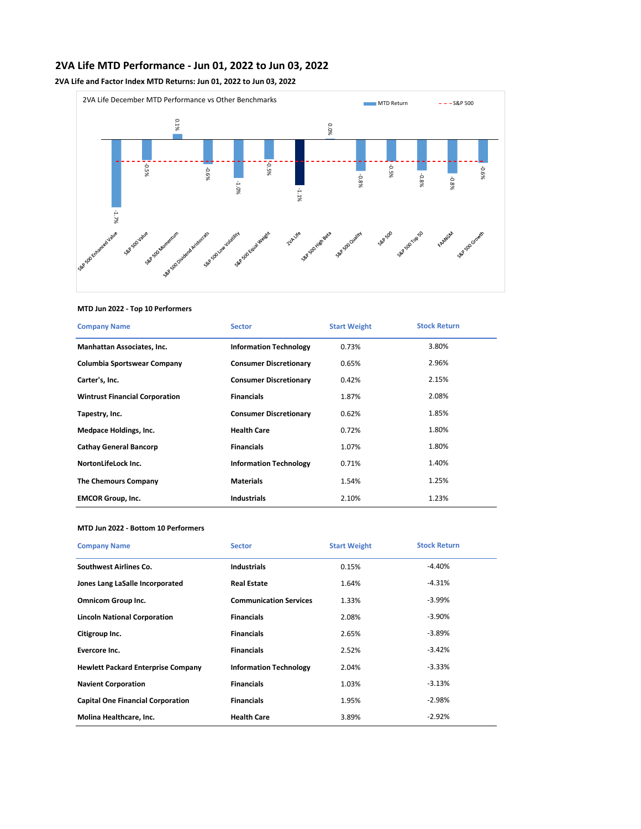# **2VA Life MTD Performance - Jun 01, 2022 to Jun 03, 2022**

**2VA Life and Factor Index MTD Returns: Jun 01, 2022 to Jun 03, 2022**



## **MTD Jun 2022 - Top 10 Performers**

| <b>Company Name</b>                   | <b>Sector</b>                 | <b>Start Weight</b> | <b>Stock Return</b> |
|---------------------------------------|-------------------------------|---------------------|---------------------|
| Manhattan Associates, Inc.            | <b>Information Technology</b> | 0.73%               | 3.80%               |
| Columbia Sportswear Company           | <b>Consumer Discretionary</b> | 0.65%               | 2.96%               |
| Carter's, Inc.                        | <b>Consumer Discretionary</b> | 0.42%               | 2.15%               |
| <b>Wintrust Financial Corporation</b> | <b>Financials</b>             | 1.87%               | 2.08%               |
| Tapestry, Inc.                        | <b>Consumer Discretionary</b> | 0.62%               | 1.85%               |
| Medpace Holdings, Inc.                | <b>Health Care</b>            | 0.72%               | 1.80%               |
| <b>Cathay General Bancorp</b>         | <b>Financials</b>             | 1.07%               | 1.80%               |
| NortonLifeLock Inc.                   | <b>Information Technology</b> | 0.71%               | 1.40%               |
| <b>The Chemours Company</b>           | <b>Materials</b>              | 1.54%               | 1.25%               |
| <b>EMCOR Group, Inc.</b>              | <b>Industrials</b>            | 2.10%               | 1.23%               |

#### **MTD Jun 2022 - Bottom 10 Performers**

| <b>Company Name</b>                       | <b>Sector</b>                 | <b>Start Weight</b> | <b>Stock Return</b> |
|-------------------------------------------|-------------------------------|---------------------|---------------------|
| <b>Southwest Airlines Co.</b>             | <b>Industrials</b>            | 0.15%               | $-4.40%$            |
| Jones Lang LaSalle Incorporated           | <b>Real Estate</b>            | 1.64%               | $-4.31%$            |
| <b>Omnicom Group Inc.</b>                 | <b>Communication Services</b> | 1.33%               | $-3.99\%$           |
| <b>Lincoln National Corporation</b>       | <b>Financials</b>             | 2.08%               | $-3.90\%$           |
| Citigroup Inc.                            | <b>Financials</b>             | 2.65%               | $-3.89%$            |
| Evercore Inc.                             | <b>Financials</b>             | 2.52%               | $-3.42%$            |
| <b>Hewlett Packard Enterprise Company</b> | <b>Information Technology</b> | 2.04%               | $-3.33%$            |
| <b>Navient Corporation</b>                | <b>Financials</b>             | 1.03%               | $-3.13%$            |
| <b>Capital One Financial Corporation</b>  | <b>Financials</b>             | 1.95%               | $-2.98%$            |
| Molina Healthcare, Inc.                   | <b>Health Care</b>            | 3.89%               | $-2.92%$            |